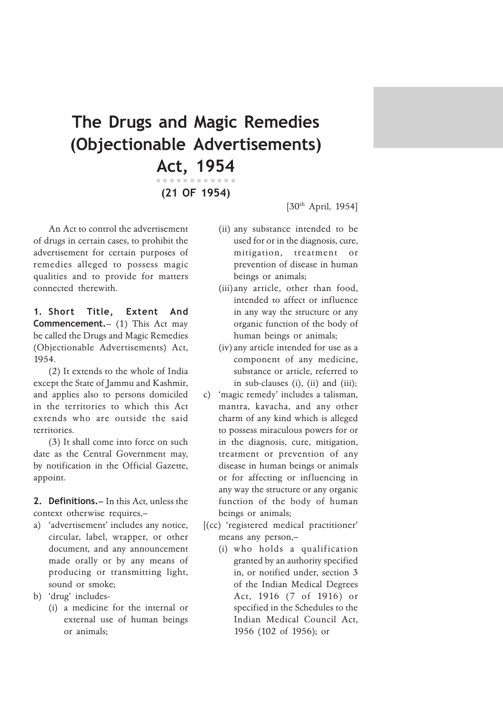## The Drugs and Magic Remedies (Objectionable Advertisements) Act, 1954

(21 OF 1954)

An Act to control the advertisement of drugs in certain cases, to prohibit the advertisement for certain purposes of remedies alleged to possess magic qualities and to provide for matters connected therewith.

1. Short Title, Extent And Commencement.– (1) This Act may be called the Drugs and Magic Remedies (Objectionable Advertisements) Act, 1954.

(2) It extends to the whole of India except the State of Jammu and Kashmir, and applies also to persons domiciled in the territories to which this Act extends who are outside the said territories.

(3) It shall come into force on such date as the Central Government may, by notification in the Official Gazette, appoint.

2. Definitions. – In this Act, unless the context otherwise requires,–

- a) 'advertisement' includes any notice, circular, label, wrapper, or other document, and any announcement made orally or by any means of producing or transmitting light, sound or smoke;
- b) 'drug' includes-
	- (i) a medicine for the internal or external use of human beings or animals;

[30<sup>th</sup> April, 1954]

- (ii) any substance intended to be used for or in the diagnosis, cure, mitigation, treatment or prevention of disease in human beings or animals;
- (iii)any article, other than food, intended to affect or influence in any way the structure or any organic function of the body of human beings or animals;
- (iv)any article intended for use as a component of any medicine, substance or article, referred to in sub-clauses (i), (ii) and (iii);
- c) 'magic remedy' includes a talisman, mantra, kavacha, and any other charm of any kind which is alleged to possess miraculous powers for or in the diagnosis, cure, mitigation, treatment or prevention of any disease in human beings or animals or for affecting or influencing in any way the structure or any organic function of the body of human beings or animals;
- [(cc) 'registered medical practitioner' means any person,–
	- (i) who holds a qualification granted by an authority specified in, or notified under, section 3 of the Indian Medical Degrees Act, 1916 (7 of 1916) or specified in the Schedules to the Indian Medical Council Act, 1956 (102 of 1956); or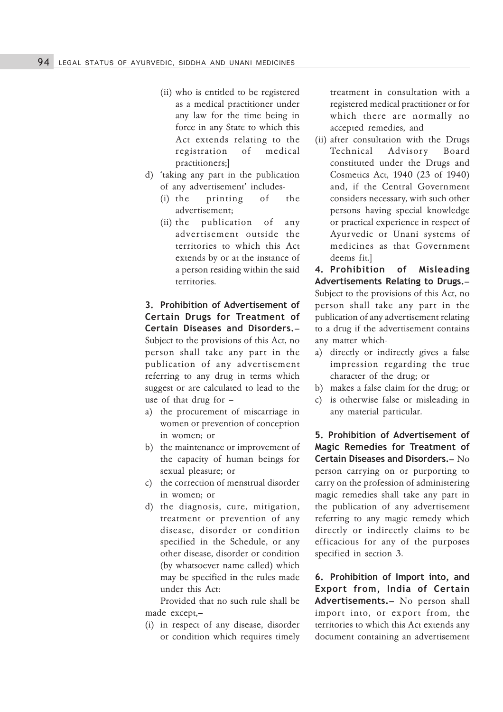- (ii) who is entitled to be registered as a medical practitioner under any law for the time being in force in any State to which this Act extends relating to the registration of medical practitioners;]
- d) 'taking any part in the publication of any advertisement' includes-
	- (i) the printing of the advertisement;
	- (ii) the publication of any advertisement outside the territories to which this Act extends by or at the instance of a person residing within the said territories.

3. Prohibition of Advertisement of Certain Drugs for Treatment of Certain Diseases and Disorders.– Subject to the provisions of this Act, no person shall take any part in the publication of any advertisement referring to any drug in terms which suggest or are calculated to lead to the use of that drug for –

- a) the procurement of miscarriage in women or prevention of conception in women; or
- b) the maintenance or improvement of the capacity of human beings for sexual pleasure; or
- c) the correction of menstrual disorder in women; or
- d) the diagnosis, cure, mitigation, treatment or prevention of any disease, disorder or condition specified in the Schedule, or any other disease, disorder or condition (by whatsoever name called) which may be specified in the rules made under this Act:

Provided that no such rule shall be made except,–

(i) in respect of any disease, disorder or condition which requires timely treatment in consultation with a registered medical practitioner or for which there are normally no accepted remedies, and

(ii) after consultation with the Drugs Technical Advisory Board constituted under the Drugs and Cosmetics Act, 1940 (23 of 1940) and, if the Central Government considers necessary, with such other persons having special knowledge or practical experience in respect of Ayurvedic or Unani systems of medicines as that Government deems fit.]

4. Prohibition of Misleading Advertisements Relating to Drugs.– Subject to the provisions of this Act, no person shall take any part in the publication of any advertisement relating to a drug if the advertisement contains any matter which-

- a) directly or indirectly gives a false impression regarding the true character of the drug; or
- b) makes a false claim for the drug; or
- c) is otherwise false or misleading in any material particular.

5. Prohibition of Advertisement of Magic Remedies for Treatment of Certain Diseases and Disorders.– No person carrying on or purporting to carry on the profession of administering magic remedies shall take any part in the publication of any advertisement referring to any magic remedy which directly or indirectly claims to be efficacious for any of the purposes specified in section 3.

6. Prohibition of Import into, and Export from, India of Certain Advertisements.– No person shall import into, or export from, the territories to which this Act extends any document containing an advertisement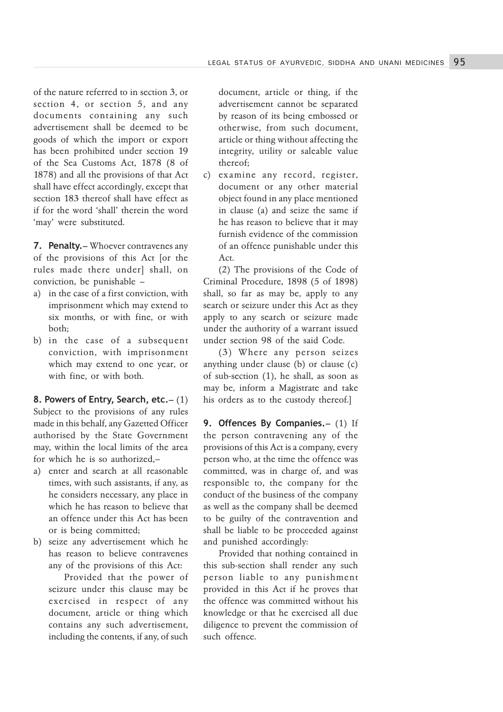of the nature referred to in section 3, or section 4, or section 5, and any documents containing any such advertisement shall be deemed to be goods of which the import or export has been prohibited under section 19 of the Sea Customs Act, 1878 (8 of 1878) and all the provisions of that Act shall have effect accordingly, except that section 183 thereof shall have effect as if for the word 'shall' therein the word 'may' were substituted.

7. Penalty.– Whoever contravenes any of the provisions of this Act [or the rules made there under] shall, on conviction, be punishable –

- a) in the case of a first conviction, with imprisonment which may extend to six months, or with fine, or with both;
- b) in the case of a subsequent conviction, with imprisonment which may extend to one year, or with fine, or with both.

8. Powers of Entry, Search, etc.– (1) Subject to the provisions of any rules made in this behalf, any Gazetted Officer authorised by the State Government may, within the local limits of the area for which he is so authorized,–

- a) enter and search at all reasonable times, with such assistants, if any, as he considers necessary, any place in which he has reason to believe that an offence under this Act has been or is being committed;
- b) seize any advertisement which he has reason to believe contravenes any of the provisions of this Act:

Provided that the power of seizure under this clause may be exercised in respect of any document, article or thing which contains any such advertisement, including the contents, if any, of such document, article or thing, if the advertisement cannot be separated by reason of its being embossed or otherwise, from such document, article or thing without affecting the integrity, utility or saleable value thereof;

c) examine any record, register, document or any other material object found in any place mentioned in clause (a) and seize the same if he has reason to believe that it may furnish evidence of the commission of an offence punishable under this Act.

(2) The provisions of the Code of Criminal Procedure, 1898 (5 of 1898) shall, so far as may be, apply to any search or seizure under this Act as they apply to any search or seizure made under the authority of a warrant issued under section 98 of the said Code.

(3) Where any person seizes anything under clause (b) or clause (c) of sub-section (1), he shall, as soon as may be, inform a Magistrate and take his orders as to the custody thereof.]

9. Offences By Companies. – (1) If the person contravening any of the provisions of this Act is a company, every person who, at the time the offence was committed, was in charge of, and was responsible to, the company for the conduct of the business of the company as well as the company shall be deemed to be guilty of the contravention and shall be liable to be proceeded against and punished accordingly:

Provided that nothing contained in this sub-section shall render any such person liable to any punishment provided in this Act if he proves that the offence was committed without his knowledge or that he exercised all due diligence to prevent the commission of such offence.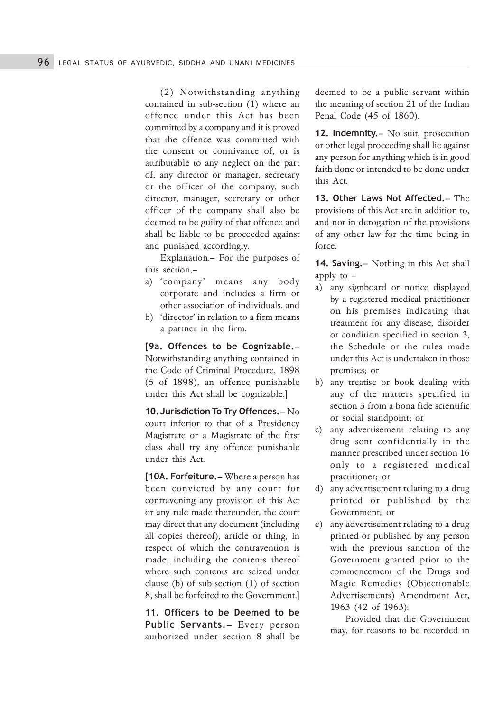(2) Notwithstanding anything contained in sub-section (1) where an offence under this Act has been committed by a company and it is proved that the offence was committed with the consent or connivance of, or is attributable to any neglect on the part of, any director or manager, secretary or the officer of the company, such director, manager, secretary or other officer of the company shall also be deemed to be guilty of that offence and shall be liable to be proceeded against and punished accordingly.

Explanation.– For the purposes of this section,–

- a) 'company' means any body corporate and includes a firm or other association of individuals, and
- b) 'director' in relation to a firm means a partner in the firm.

[9a. Offences to be Cognizable.– Notwithstanding anything contained in the Code of Criminal Procedure, 1898 (5 of 1898), an offence punishable under this Act shall be cognizable.]

10.Jurisdiction To Try Offences.– No court inferior to that of a Presidency Magistrate or a Magistrate of the first class shall try any offence punishable under this Act.

[10A. Forfeiture. – Where a person has been convicted by any court for contravening any provision of this Act or any rule made thereunder, the court may direct that any document (including all copies thereof), article or thing, in respect of which the contravention is made, including the contents thereof where such contents are seized under clause (b) of sub-section (1) of section 8, shall be forfeited to the Government.]

11. Officers to be Deemed to be Public Servants. – Every person authorized under section 8 shall be deemed to be a public servant within the meaning of section 21 of the Indian Penal Code (45 of 1860).

12. Indemnity.- No suit, prosecution or other legal proceeding shall lie against any person for anything which is in good faith done or intended to be done under this Act.

13. Other Laws Not Affected.– The provisions of this Act are in addition to, and not in derogation of the provisions of any other law for the time being in force.

14. Saving.– Nothing in this Act shall apply to –

- a) any signboard or notice displayed by a registered medical practitioner on his premises indicating that treatment for any disease, disorder or condition specified in section 3, the Schedule or the rules made under this Act is undertaken in those premises; or
- b) any treatise or book dealing with any of the matters specified in section 3 from a bona fide scientific or social standpoint; or
- c) any advertisement relating to any drug sent confidentially in the manner prescribed under section 16 only to a registered medical practitioner; or
- d) any advertisement relating to a drug printed or published by the Government; or
- e) any advertisement relating to a drug printed or published by any person with the previous sanction of the Government granted prior to the commencement of the Drugs and Magic Remedies (Objectionable Advertisements) Amendment Act, 1963 (42 of 1963):

Provided that the Government may, for reasons to be recorded in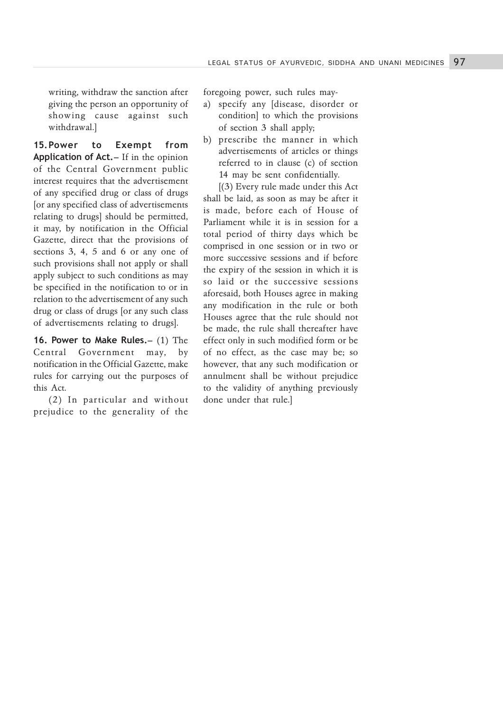writing, withdraw the sanction after giving the person an opportunity of showing cause against such withdrawal.]

15.Power to Exempt from Application of Act. – If in the opinion of the Central Government public interest requires that the advertisement of any specified drug or class of drugs [or any specified class of advertisements relating to drugs] should be permitted, it may, by notification in the Official Gazette, direct that the provisions of sections 3, 4, 5 and 6 or any one of such provisions shall not apply or shall apply subject to such conditions as may be specified in the notification to or in relation to the advertisement of any such drug or class of drugs [or any such class of advertisements relating to drugs].

16. Power to Make Rules.– (1) The Central Government may, by notification in the Official Gazette, make rules for carrying out the purposes of this Act.

(2) In particular and without prejudice to the generality of the foregoing power, such rules may-

- a) specify any [disease, disorder or condition] to which the provisions of section 3 shall apply;
- b) prescribe the manner in which advertisements of articles or things referred to in clause (c) of section 14 may be sent confidentially.

[(3) Every rule made under this Act shall be laid, as soon as may be after it is made, before each of House of Parliament while it is in session for a total period of thirty days which be comprised in one session or in two or more successive sessions and if before the expiry of the session in which it is so laid or the successive sessions aforesaid, both Houses agree in making any modification in the rule or both Houses agree that the rule should not be made, the rule shall thereafter have effect only in such modified form or be of no effect, as the case may be; so however, that any such modification or annulment shall be without prejudice to the validity of anything previously done under that rule.]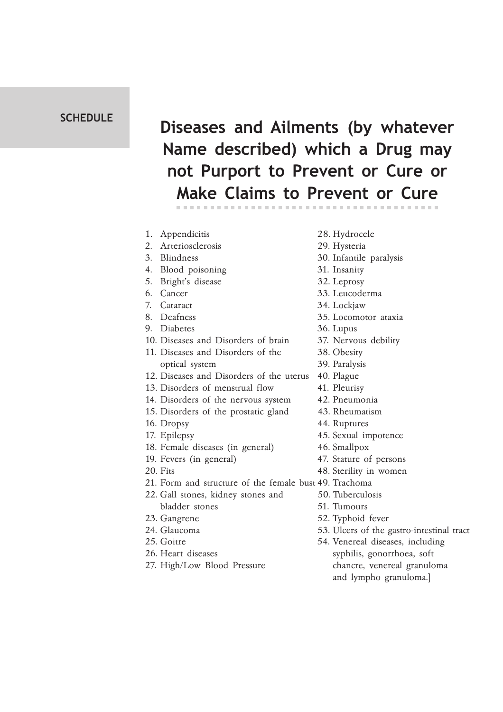## **SCHEDULE**

## Diseases and Ailments (by whatever Name described) which a Drug may not Purport to Prevent or Cure or Make Claims to Prevent or Cure

| 1. | Appendicitis                                           | 28. Hydrocele    |
|----|--------------------------------------------------------|------------------|
| 2. | Arteriosclerosis                                       | 29. Hysteria     |
| 3. | Blindness                                              | 30. Infantile p  |
| 4. | Blood poisoning                                        | 31. Insanity     |
| 5. | Bright's disease                                       | 32. Leprosy      |
| 6. | Cancer                                                 | 33. Leucodern    |
| 7. | Cataract                                               | 34. Lockjaw      |
| 8. | Deafness                                               | 35. Locomotor    |
| 9. | Diabetes                                               | 36. Lupus        |
|    | 10. Diseases and Disorders of brain                    | 37. Nervous d    |
|    | 11. Diseases and Disorders of the                      | 38. Obesity      |
|    | optical system                                         | 39. Paralysis    |
|    | 12. Diseases and Disorders of the uterus               | 40. Plague       |
|    | 13. Disorders of menstrual flow                        | 41. Pleurisy     |
|    | 14. Disorders of the nervous system                    | 42. Pneumonia    |
|    | 15. Disorders of the prostatic gland                   | 43. Rheumatis    |
|    | 16. Dropsy                                             | 44. Ruptures     |
|    | 17. Epilepsy                                           | 45. Sexual imp   |
|    | 18. Female diseases (in general)                       | 46. Smallpox     |
|    | 19. Fevers (in general)                                | 47. Stature of   |
|    | 20. Fits                                               | 48. Sterility in |
|    | 21. Form and structure of the female bust 49. Trachoma |                  |
|    | 22. Gall stones, kidney stones and                     | 50. Tuberculos   |
|    | bladder stones                                         | 51. Tumours      |
|    | 23. Gangrene                                           | 52. Typhoid fe   |
|    | 24. Glaucoma                                           | 53. Ulcers of t  |
|    | 25. Goitre                                             | 54. Venereal d   |
|    | 26. Heart diseases                                     | syphilis, oc     |

- 
- 
- antile paralysis
- 
- 
- 1coderma
- 
- omotor ataxia
- 
- rvous debility
- 
- 
- 
- 
- eumonia
- eumatism
- 
- ual impotence
- 
- ture of persons
- rility in women
- - erculosis
	-
	- hoid fever
	- ers of the gastro-intestinal tract
- nereal diseases, including syphilis, gonorrhoea, soft 27. High/Low Blood Pressure chancre, venereal granuloma and lympho granuloma.]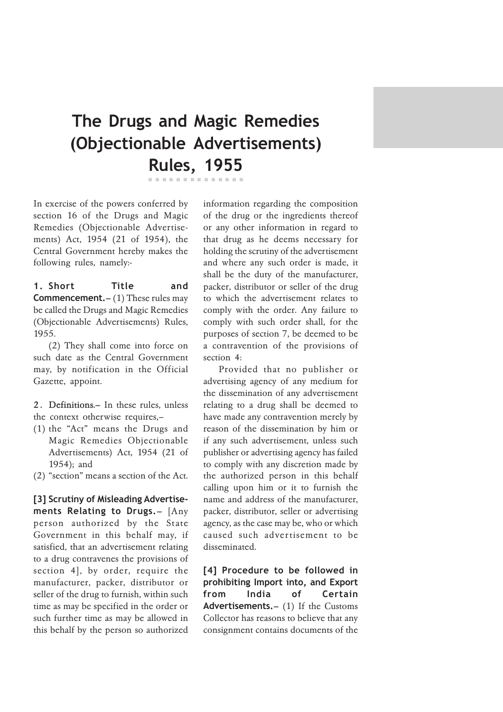## The Drugs and Magic Remedies (Objectionable Advertisements) Rules, 1955

In exercise of the powers conferred by section 16 of the Drugs and Magic Remedies (Objectionable Advertisements) Act, 1954 (21 of 1954), the Central Government hereby makes the following rules, namely:-

1. Short Title and **Commencement.**  $- (1)$  These rules may be called the Drugs and Magic Remedies (Objectionable Advertisements) Rules, 1955.

(2) They shall come into force on such date as the Central Government may, by notification in the Official Gazette, appoint.

2. Definitions.- In these rules, unless the context otherwise requires,–

- (1) the "Act" means the Drugs and Magic Remedies Objectionable Advertisements) Act, 1954 (21 of 1954); and
- (2) "section" means a section of the Act.

[3] Scrutiny of Misleading Advertisements Relating to Drugs.– [Any person authorized by the State Government in this behalf may, if satisfied, that an advertisement relating to a drug contravenes the provisions of section 4], by order, require the manufacturer, packer, distributor or seller of the drug to furnish, within such time as may be specified in the order or such further time as may be allowed in this behalf by the person so authorized information regarding the composition of the drug or the ingredients thereof or any other information in regard to that drug as he deems necessary for holding the scrutiny of the advertisement and where any such order is made, it shall be the duty of the manufacturer, packer, distributor or seller of the drug to which the advertisement relates to comply with the order. Any failure to comply with such order shall, for the purposes of section 7, be deemed to be a contravention of the provisions of section 4:

Provided that no publisher or advertising agency of any medium for the dissemination of any advertisement relating to a drug shall be deemed to have made any contravention merely by reason of the dissemination by him or if any such advertisement, unless such publisher or advertising agency has failed to comply with any discretion made by the authorized person in this behalf calling upon him or it to furnish the name and address of the manufacturer, packer, distributor, seller or advertising agency, as the case may be, who or which caused such advertisement to be disseminated.

[4] Procedure to be followed in prohibiting Import into, and Export from India of Certain Advertisements. - (1) If the Customs Collector has reasons to believe that any consignment contains documents of the